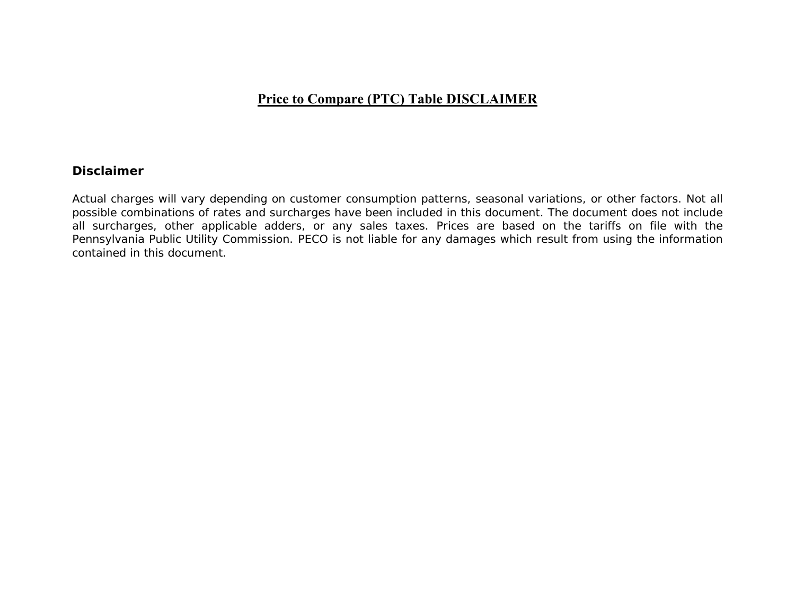## **Price to Compare (PTC) Table DISCLAIMER**

## **Disclaimer**

Actual charges will vary depending on customer consumption patterns, seasonal variations, or other factors. Not all possible combinations of rates and surcharges have been included in this document. The document does not include all surcharges, other applicable adders, or any sales taxes. Prices are based on the tariffs on file with the Pennsylvania Public Utility Commission. PECO is not liable for any damages which result from using the information contained in this document.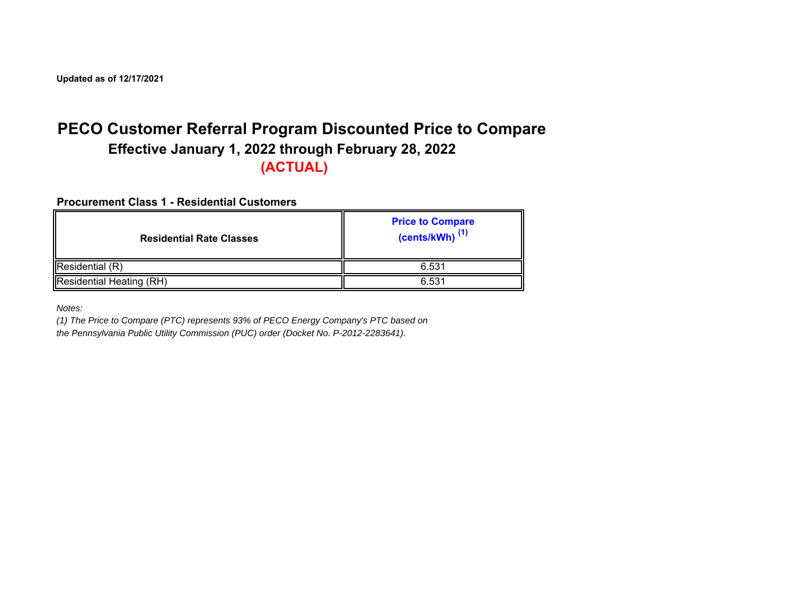**Updated as of 12/17/2021**

## **PECO Customer Referral Program Discounted Price to Compare Effective January 1, 2022 through February 28, 2022 (ACTUAL)**

**Procurement Class 1 - Residential Customers**

| <b>Residential Rate Classes</b> | <b>Price to Compare</b><br>$(cents/kWh)$ <sup>(1)</sup> |
|---------------------------------|---------------------------------------------------------|
| Residential (R)                 | 6.531                                                   |
| Residential Heating (RH)        | 6.531                                                   |

*Notes:*

*(1) The Price to Compare (PTC) represents 93% of PECO Energy Company's PTC based on* 

*the Pennsylvania Public Utility Commission (PUC) order (Docket No. P-2012-2283641).*